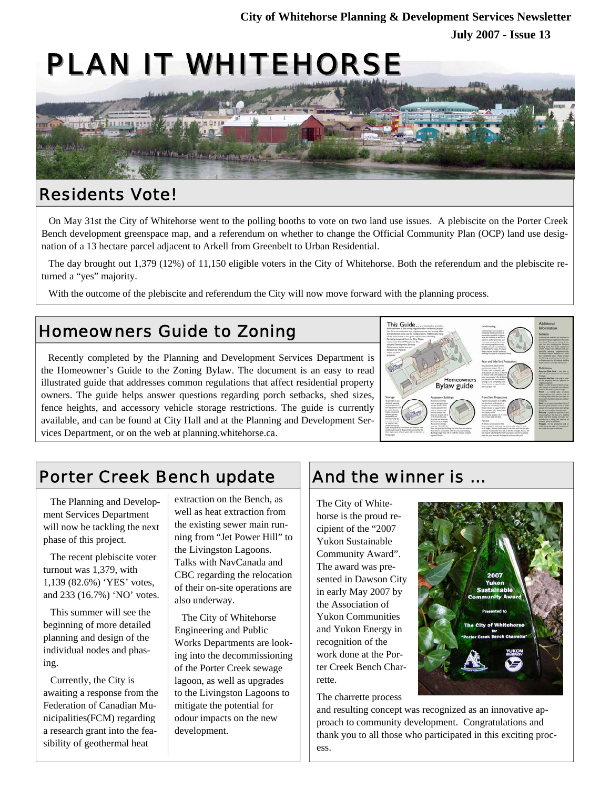# PLAN IT WHITEHORSE



### Residents Vote!

On May 31st the City of Whitehorse went to the polling booths to vote on two land use issues. A plebiscite on the Porter Creek Bench development greenspace map, and a referendum on whether to change the Official Community Plan (OCP) land use designation of a 13 hectare parcel adjacent to Arkell from Greenbelt to Urban Residential.

The day brought out 1,379 (12%) of 11,150 eligible voters in the City of Whitehorse. Both the referendum and the plebiscite returned a "yes" majority.

With the outcome of the plebiscite and referendum the City will now move forward with the planning process.

### Homeowners Guide to Zoning

Recently completed by the Planning and Development Services Department is the Homeowner's Guide to the Zoning Bylaw. The document is an easy to read illustrated guide that addresses common regulations that affect residential property owners. The guide helps answer questions regarding porch setbacks, shed sizes, fence heights, and accessory vehicle storage restrictions. The guide is currently available, and can be found at City Hall and at the Planning and Development Services Department, or on the web at planning.whitehorse.ca.



### Porter Creek Bench update

The Planning and Development Services Department will now be tackling the next phase of this project.

The recent plebiscite voter turnout was 1,379, with 1,139 (82.6%) 'YES' votes, and 233 (16.7%) 'NO' votes.

This summer will see the beginning of more detailed planning and design of the individual nodes and phasing.

Currently, the City is awaiting a response from the Federation of Canadian Municipalities(FCM) regarding a research grant into the feasibility of geothermal heat

extraction on the Bench, as well as heat extraction from the existing sewer main running from "Jet Power Hill" to the Livingston Lagoons. Talks with NavCanada and CBC regarding the relocation of their on-site operations are also underway.

The City of Whitehorse Engineering and Public Works Departments are looking into the decommissioning of the Porter Creek sewage lagoon, as well as upgrades to the Livingston Lagoons to mitigate the potential for odour impacts on the new development.

## And the winner is ...

The City of Whitehorse is the proud recipient of the "2007 Yukon Sustainable Community Award". The award was presented in Dawson City in early May 2007 by the Association of Yukon Communities and Yukon Energy in recognition of the work done at the Porter Creek Bench Charrette.

The charrette process



and resulting concept was recognized as an innovative approach to community development. Congratulations and thank you to all those who participated in this exciting process.